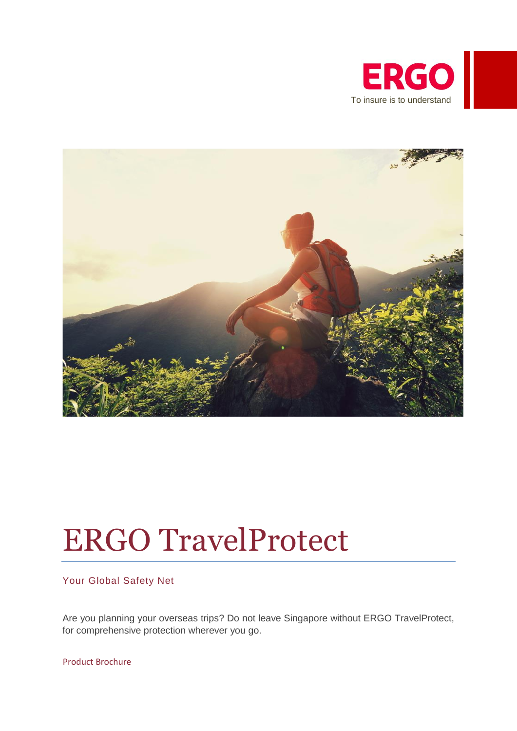



# ERGO TravelProtect

Your Global Safety Net

Are you planning your overseas trips? Do not leave Singapore without ERGO TravelProtect, for comprehensive protection wherever you go.

Product Brochure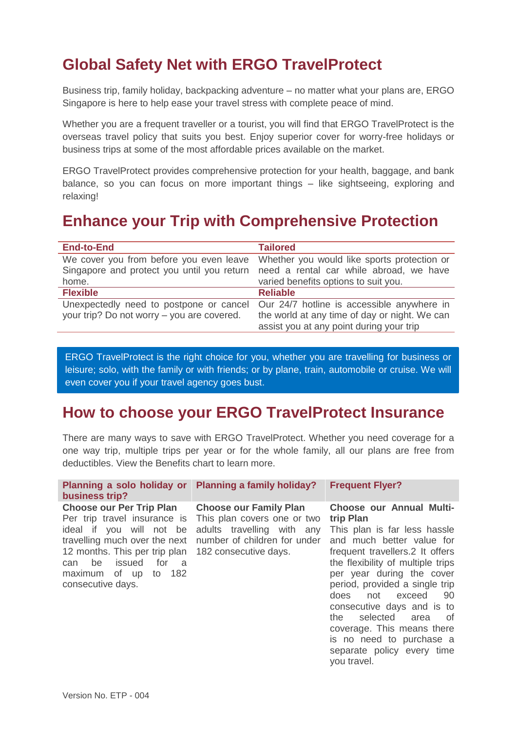# **Global Safety Net with ERGO TravelProtect**

Business trip, family holiday, backpacking adventure – no matter what your plans are, ERGO Singapore is here to help ease your travel stress with complete peace of mind.

Whether you are a frequent traveller or a tourist, you will find that ERGO TravelProtect is the overseas travel policy that suits you best. Enjoy superior cover for worry-free holidays or business trips at some of the most affordable prices available on the market.

ERGO TravelProtect provides comprehensive protection for your health, baggage, and bank balance, so you can focus on more important things – like sightseeing, exploring and relaxing!

# **Enhance your Trip with Comprehensive Protection**

| <b>End-to-End</b>                          | <b>Tailored</b>                               |
|--------------------------------------------|-----------------------------------------------|
| We cover you from before you even leave    | Whether you would like sports protection or   |
| Singapore and protect you until you return | need a rental car while abroad, we have       |
| home.                                      | varied benefits options to suit you.          |
| <b>Flexible</b>                            | <b>Reliable</b>                               |
| Unexpectedly need to postpone or cancel    | Our 24/7 hotline is accessible anywhere in    |
| your trip? Do not worry – you are covered. | the world at any time of day or night. We can |
|                                            | assist you at any point during your trip      |

ERGO TravelProtect is the right choice for you, whether you are travelling for business or leisure; solo, with the family or with friends; or by plane, train, automobile or cruise. We will even cover you if your travel agency goes bust.

# **How to choose your ERGO TravelProtect Insurance**

There are many ways to save with ERGO TravelProtect. Whether you need coverage for a one way trip, multiple trips per year or for the whole family, all our plans are free from deductibles. View the Benefits chart to learn more.

| <b>Choose our Per Trip Plan</b><br><b>Choose our Family Plan</b><br>Per trip travel insurance is<br>This plan covers one or two<br>trip Plan<br>adults travelling with any<br>ideal if you will not be<br>number of children for under<br>travelling much over the next<br>and much better value for<br>12 months. This per trip plan<br>frequent travellers.2 It offers<br>182 consecutive days.<br>the flexibility of multiple trips<br>issued<br>be<br>for<br>- a<br>can<br>per year during the cover<br>maximum of up to 182<br>period, provided a single trip<br>consecutive days. | Planning a solo holiday or<br>business trip? | <b>Planning a family holiday?</b> | <b>Frequent Flyer?</b>                                                                           |
|-----------------------------------------------------------------------------------------------------------------------------------------------------------------------------------------------------------------------------------------------------------------------------------------------------------------------------------------------------------------------------------------------------------------------------------------------------------------------------------------------------------------------------------------------------------------------------------------|----------------------------------------------|-----------------------------------|--------------------------------------------------------------------------------------------------|
| consecutive days and is to<br>selected<br>the<br>of<br>area<br>coverage. This means there<br>is no need to purchase a<br>separate policy every time<br>you travel.                                                                                                                                                                                                                                                                                                                                                                                                                      |                                              |                                   | <b>Choose our Annual Multi-</b><br>This plan is far less hassle<br>not<br>exceed<br>- 90<br>does |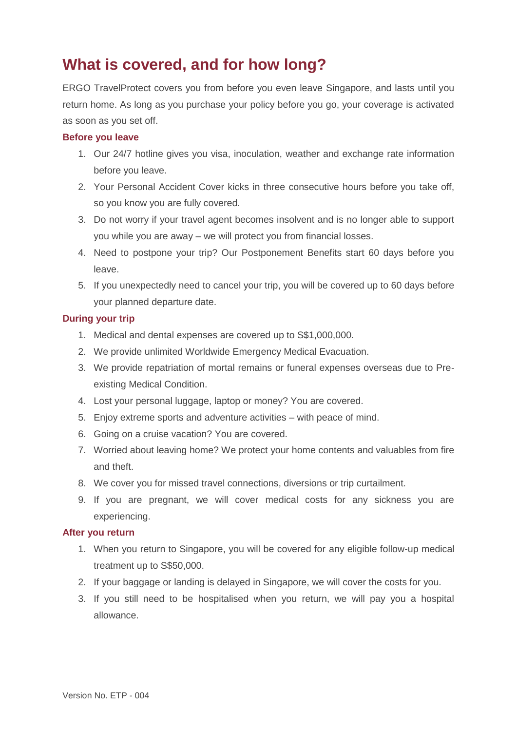# **What is covered, and for how long?**

ERGO TravelProtect covers you from before you even leave Singapore, and lasts until you return home. As long as you purchase your policy before you go, your coverage is activated as soon as you set off.

# **Before you leave**

- 1. Our 24/7 hotline gives you visa, inoculation, weather and exchange rate information before you leave.
- 2. Your Personal Accident Cover kicks in three consecutive hours before you take off, so you know you are fully covered.
- 3. Do not worry if your travel agent becomes insolvent and is no longer able to support you while you are away – we will protect you from financial losses.
- 4. Need to postpone your trip? Our Postponement Benefits start 60 days before you leave.
- 5. If you unexpectedly need to cancel your trip, you will be covered up to 60 days before your planned departure date.

# **During your trip**

- 1. Medical and dental expenses are covered up to S\$1,000,000.
- 2. We provide unlimited Worldwide Emergency Medical Evacuation.
- 3. We provide repatriation of mortal remains or funeral expenses overseas due to Preexisting Medical Condition.
- 4. Lost your personal luggage, laptop or money? You are covered.
- 5. Enjoy extreme sports and adventure activities with peace of mind.
- 6. Going on a cruise vacation? You are covered.
- 7. Worried about leaving home? We protect your home contents and valuables from fire and theft.
- 8. We cover you for missed travel connections, diversions or trip curtailment.
- 9. If you are pregnant, we will cover medical costs for any sickness you are experiencing.

## **After you return**

- 1. When you return to Singapore, you will be covered for any eligible follow-up medical treatment up to S\$50,000.
- 2. If your baggage or landing is delayed in Singapore, we will cover the costs for you.
- 3. If you still need to be hospitalised when you return, we will pay you a hospital allowance.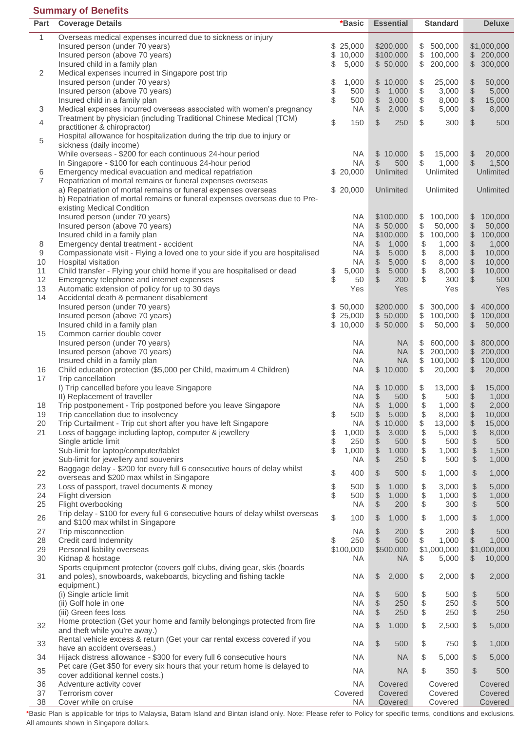# **Summary of Benefits**

| Part           | <b>Coverage Details</b>                                                        | *Basic       |           | <b>Essential</b>     | <b>Standard</b>                                    | <b>Deluxe</b>                                            |
|----------------|--------------------------------------------------------------------------------|--------------|-----------|----------------------|----------------------------------------------------|----------------------------------------------------------|
| 1              | Overseas medical expenses incurred due to sickness or injury                   |              |           |                      |                                                    |                                                          |
|                | Insured person (under 70 years)                                                | \$<br>25,000 |           | \$200,000            | \$<br>500,000                                      | \$1,000,000                                              |
|                | Insured person (above 70 years)                                                | \$<br>10,000 |           | \$100,000            | \$<br>100,000                                      | $\frac{1}{2}$<br>200,000                                 |
|                | Insured child in a family plan                                                 | 5,000<br>\$  |           | \$50,000             | 200,000<br>\$                                      | 300,000<br>\$                                            |
| 2              | Medical expenses incurred in Singapore post trip                               |              |           |                      |                                                    |                                                          |
|                | Insured person (under 70 years)                                                | \$           | 1,000     | \$<br>10,000         | \$<br>25,000                                       | 50,000                                                   |
|                | Insured person (above 70 years)                                                | \$           | 500       | \$<br>1,000          | \$<br>3,000                                        | $\frac{1}{2}$<br>5,000                                   |
|                | Insured child in a family plan                                                 | \$           | 500       | \$<br>3,000          | $\, \, \raisebox{12pt}{$\scriptstyle \$}$<br>8,000 | $\$\$<br>15,000                                          |
| 3              | Medical expenses incurred overseas associated with women's pregnancy           |              | <b>NA</b> | \$<br>2,000          | \$<br>5,000                                        | $\frac{1}{2}$<br>8,000                                   |
|                | Treatment by physician (including Traditional Chinese Medical (TCM)            |              |           |                      |                                                    |                                                          |
| 4              | practitioner & chiropractor)                                                   | \$           | 150       | \$<br>250            | \$<br>300                                          | \$<br>500                                                |
|                | Hospital allowance for hospitalization during the trip due to injury or        |              |           |                      |                                                    |                                                          |
| 5              | sickness (daily income)                                                        |              |           |                      |                                                    |                                                          |
|                | While overseas - \$200 for each continuous 24-hour period                      |              | <b>NA</b> | \$10,000             | \$<br>15,000                                       | \$<br>20,000                                             |
|                | In Singapore - \$100 for each continuous 24-hour period                        |              | <b>NA</b> | \$<br>500            | \$<br>1,000                                        | \$<br>1,500                                              |
| 6              | Emergency medical evacuation and medical repatriation                          | \$20,000     |           | Unlimited            | Unlimited                                          | Unlimited                                                |
| $\overline{7}$ | Repatriation of mortal remains or funeral expenses overseas                    |              |           |                      |                                                    |                                                          |
|                | a) Repatriation of mortal remains or funeral expenses overseas                 | \$20,000     |           | Unlimited            | Unlimited                                          | Unlimited                                                |
|                | b) Repatriation of mortal remains or funeral expenses overseas due to Pre-     |              |           |                      |                                                    |                                                          |
|                | existing Medical Condition                                                     |              |           |                      |                                                    |                                                          |
|                | Insured person (under 70 years)                                                |              | <b>NA</b> | \$100,000            | \$<br>100,000                                      | 100,000<br>\$                                            |
|                | Insured person (above 70 years)                                                |              | <b>NA</b> | \$50,000             | \$<br>50,000                                       | $\, \, \raisebox{12pt}{$\scriptstyle\circ$}$<br>50,000   |
|                | Insured child in a family plan                                                 |              | <b>NA</b> | \$100,000            | \$<br>100,000                                      | $\$\$<br>100,000                                         |
| 8              | Emergency dental treatment - accident                                          |              | <b>NA</b> | \$<br>1,000          | \$<br>1,000                                        | 1,000                                                    |
| 9              | Compassionate visit - Flying a loved one to your side if you are hospitalised  |              | <b>NA</b> | \$<br>5,000          | \$<br>8,000                                        | $\theta$<br>10,000                                       |
| 10             | Hospital visitation                                                            |              | <b>NA</b> | \$<br>5,000          | \$<br>8,000                                        | $\$\$<br>10,000                                          |
| 11             | Child transfer - Flying your child home if you are hospitalised or dead        | \$           | 5,000     | \$<br>5,000          | \$<br>8,000                                        | \$<br>10,000                                             |
| 12             | Emergency telephone and internet expenses                                      | \$           | 50        | \$<br>200            | \$<br>300                                          | \$<br>500                                                |
| 13             | Automatic extension of policy for up to 30 days                                |              | Yes       | Yes                  | Yes                                                | Yes                                                      |
| 14             | Accidental death & permanent disablement                                       |              |           |                      |                                                    |                                                          |
|                | Insured person (under 70 years)                                                | 50,000<br>\$ |           | \$200,000            | \$<br>300,000                                      | \$<br>400,000                                            |
|                | Insured person (above 70 years)                                                | 25,000<br>\$ |           | \$50,000             | \$<br>100,000                                      | \$<br>100,000                                            |
|                | Insured child in a family plan                                                 | \$10,000     |           | \$50,000             | \$<br>50,000                                       | \$<br>50,000                                             |
| 15             | Common carrier double cover                                                    |              |           |                      |                                                    |                                                          |
|                | Insured person (under 70 years)                                                |              | <b>NA</b> | <b>NA</b>            | \$<br>600,000                                      | \$<br>800,000                                            |
|                | Insured person (above 70 years)                                                |              | <b>NA</b> | <b>NA</b>            | \$<br>200,000                                      | \$<br>200,000                                            |
|                | Insured child in a family plan                                                 |              | <b>NA</b> | <b>NA</b>            | \$<br>100,000                                      | $\, \, \raisebox{12pt}{$\scriptstyle \circ$}$<br>100,000 |
| 16             | Child education protection (\$5,000 per Child, maximum 4 Children)             |              | <b>NA</b> | \$10,000             | \$<br>20,000                                       | $\frac{1}{2}$<br>20,000                                  |
| 17             | Trip cancellation                                                              |              |           |                      |                                                    |                                                          |
|                | I) Trip cancelled before you leave Singapore                                   |              | <b>NA</b> | \$<br>10,000         | \$<br>13,000                                       | \$<br>15,000                                             |
|                | II) Replacement of traveller                                                   |              | <b>NA</b> | \$<br>500            | \$<br>500                                          | \$<br>1,000                                              |
| 18             | Trip postponement - Trip postponed before you leave Singapore                  |              | <b>NA</b> | \$<br>1,000          | \$<br>1,000                                        | $\frac{1}{2}$<br>2,000                                   |
| 19             | Trip cancellation due to insolvency                                            | \$           | 500       | \$<br>5,000          | $\$\$<br>8,000                                     | $$\mathbb{S}$$<br>10,000                                 |
| 20             | Trip Curtailment - Trip cut short after you have left Singapore                |              | <b>NA</b> | \$<br>10,000         | \$<br>13,000                                       | $\, \, \raisebox{12pt}{$\scriptstyle \circ$}$<br>15,000  |
| 21             | Loss of baggage including laptop, computer & jewellery                         | \$           | 1,000     | \$<br>3,000          | \$<br>5,000                                        | $\, \, \raisebox{12pt}{$\scriptstyle \circ$}$<br>8,000   |
|                | Single article limit                                                           | \$           | 250       | \$<br>500            | \$<br>500                                          | $\, \, \raisebox{12pt}{$\scriptstyle \circ$}$<br>500     |
|                | Sub-limit for laptop/computer/tablet                                           | \$           | 1,000     | \$<br>1,000          | \$<br>1,000                                        | $\frac{1}{2}$<br>1,500                                   |
|                | Sub-limit for jewellery and souvenirs                                          |              | <b>NA</b> | \$<br>250            | \$<br>500                                          | $\frac{1}{2}$<br>1,000                                   |
| 22             | Baggage delay - \$200 for every full 6 consecutive hours of delay whilst       | \$           | 400       | \$<br>500            | \$<br>1,000                                        | \$<br>1,000                                              |
|                | overseas and \$200 max whilst in Singapore                                     |              |           |                      |                                                    |                                                          |
| 23             | Loss of passport, travel documents & money                                     | \$           | 500       | \$<br>1,000          | \$<br>3,000                                        | \$<br>5,000                                              |
| 24             | Flight diversion                                                               | \$           | 500       | $\$\$<br>1,000       | \$<br>1,000                                        | $$\mathbb{S}$$<br>1,000                                  |
| 25             | Flight overbooking                                                             |              | <b>NA</b> | $\frac{1}{2}$<br>200 | \$<br>300                                          | $\frac{1}{2}$<br>500                                     |
| 26             | Trip delay - \$100 for every full 6 consecutive hours of delay whilst overseas | \$           | 100       | \$<br>1,000          | \$<br>1,000                                        | \$<br>1,000                                              |
|                | and \$100 max whilst in Singapore                                              |              |           |                      |                                                    |                                                          |
| 27             | Trip misconnection                                                             |              | <b>NA</b> | \$<br>200            | \$<br>200                                          | $\frac{1}{2}$<br>500                                     |
| 28             | Credit card Indemnity                                                          | \$           | 250       | $\frac{1}{2}$<br>500 | \$<br>1,000                                        | \$<br>1,000                                              |
| 29             | Personal liability overseas                                                    | \$100,000    |           | \$500,000            | \$1,000,000                                        | \$1,000,000                                              |
| 30             | Kidnap & hostage                                                               |              | <b>NA</b> | <b>NA</b>            | 5,000<br>\$                                        | 10,000<br>\$                                             |
|                | Sports equipment protector (covers golf clubs, diving gear, skis (boards       |              |           |                      |                                                    |                                                          |
| 31             | and poles), snowboards, wakeboards, bicycling and fishing tackle               |              | <b>NA</b> | \$<br>2,000          | \$<br>2,000                                        | \$<br>2,000                                              |
|                | equipment.)                                                                    |              |           |                      |                                                    |                                                          |
|                | (i) Single article limit                                                       |              | <b>NA</b> | \$<br>500            | \$<br>500                                          | \$<br>500                                                |
|                | (ii) Golf hole in one                                                          |              | <b>NA</b> | \$<br>250            | \$<br>250                                          | $\, \, \raisebox{12pt}{$\scriptstyle\circ$}$<br>500      |
|                | (iii) Green fees loss                                                          |              | <b>NA</b> | \$<br>250            | \$<br>250                                          | $\frac{1}{2}$<br>250                                     |
| 32             | Home protection (Get your home and family belongings protected from fire       |              | <b>NA</b> | \$<br>1,000          | \$<br>2,500                                        | $\mathbb{S}$<br>5,000                                    |
|                | and theft while you're away.)                                                  |              |           |                      |                                                    |                                                          |
| 33             | Rental vehicle excess & return (Get your car rental excess covered if you      |              | <b>NA</b> | \$<br>500            | \$<br>750                                          | \$<br>1,000                                              |
|                | have an accident overseas.)                                                    |              |           |                      |                                                    |                                                          |
| 34             | Hijack distress allowance - \$300 for every full 6 consecutive hours           |              | <b>NA</b> | <b>NA</b>            | \$<br>5,000                                        | $\mathbb{S}$<br>5,000                                    |
| 35             | Pet care (Get \$50 for every six hours that your return home is delayed to     |              | <b>NA</b> | <b>NA</b>            | \$<br>350                                          | $\mathbb{S}$<br>500                                      |
|                | cover additional kennel costs.)                                                |              |           |                      |                                                    |                                                          |
| 36             | Adventure activity cover                                                       | Covered      | <b>NA</b> | Covered              | Covered                                            | Covered                                                  |
| 37<br>38       | Terrorism cover                                                                |              | <b>NA</b> | Covered              | Covered                                            | Covered                                                  |
|                | Cover while on cruise                                                          |              |           | Covered              | Covered                                            | Covered                                                  |

\*Basic Plan is applicable for trips to Malaysia, Batam Island and Bintan island only. Note: Please refer to Policy for specific terms, conditions and exclusions. All amounts shown in Singapore dollars.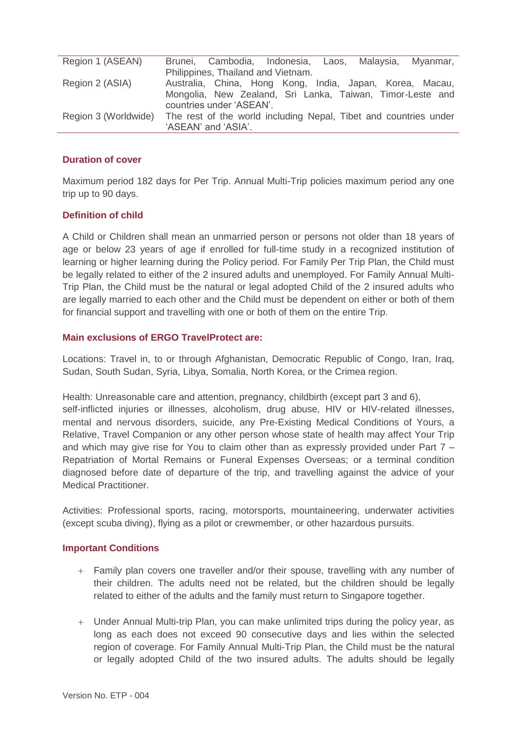| Region 1 (ASEAN)     | Brunei, Cambodia, Indonesia, Laos, Malaysia, Myanmar,            |
|----------------------|------------------------------------------------------------------|
|                      | Philippines, Thailand and Vietnam.                               |
| Region 2 (ASIA)      | Australia, China, Hong Kong, India, Japan, Korea, Macau,         |
|                      | Mongolia, New Zealand, Sri Lanka, Taiwan, Timor-Leste and        |
|                      | countries under 'ASEAN'.                                         |
| Region 3 (Worldwide) | The rest of the world including Nepal, Tibet and countries under |
|                      | 'ASEAN' and 'ASIA'.                                              |

## **Duration of cover**

Maximum period 182 days for Per Trip. Annual Multi-Trip policies maximum period any one trip up to 90 days.

## **Definition of child**

A Child or Children shall mean an unmarried person or persons not older than 18 years of age or below 23 years of age if enrolled for full-time study in a recognized institution of learning or higher learning during the Policy period. For Family Per Trip Plan, the Child must be legally related to either of the 2 insured adults and unemployed. For Family Annual Multi-Trip Plan, the Child must be the natural or legal adopted Child of the 2 insured adults who are legally married to each other and the Child must be dependent on either or both of them for financial support and travelling with one or both of them on the entire Trip.

#### **Main exclusions of ERGO TravelProtect are:**

Locations: Travel in, to or through Afghanistan, Democratic Republic of Congo, Iran, Iraq, Sudan, South Sudan, Syria, Libya, Somalia, North Korea, or the Crimea region.

Health: Unreasonable care and attention, pregnancy, childbirth (except part 3 and 6), self-inflicted injuries or illnesses, alcoholism, drug abuse, HIV or HIV-related illnesses, mental and nervous disorders, suicide, any Pre-Existing Medical Conditions of Yours, a Relative, Travel Companion or any other person whose state of health may affect Your Trip and which may give rise for You to claim other than as expressly provided under Part 7 – Repatriation of Mortal Remains or Funeral Expenses Overseas; or a terminal condition diagnosed before date of departure of the trip, and travelling against the advice of your Medical Practitioner.

Activities: Professional sports, racing, motorsports, mountaineering, underwater activities (except scuba diving), flying as a pilot or crewmember, or other hazardous pursuits.

#### **Important Conditions**

- Family plan covers one traveller and/or their spouse, travelling with any number of their children. The adults need not be related, but the children should be legally related to either of the adults and the family must return to Singapore together.
- Under Annual Multi-trip Plan, you can make unlimited trips during the policy year, as long as each does not exceed 90 consecutive days and lies within the selected region of coverage. For Family Annual Multi-Trip Plan, the Child must be the natural or legally adopted Child of the two insured adults. The adults should be legally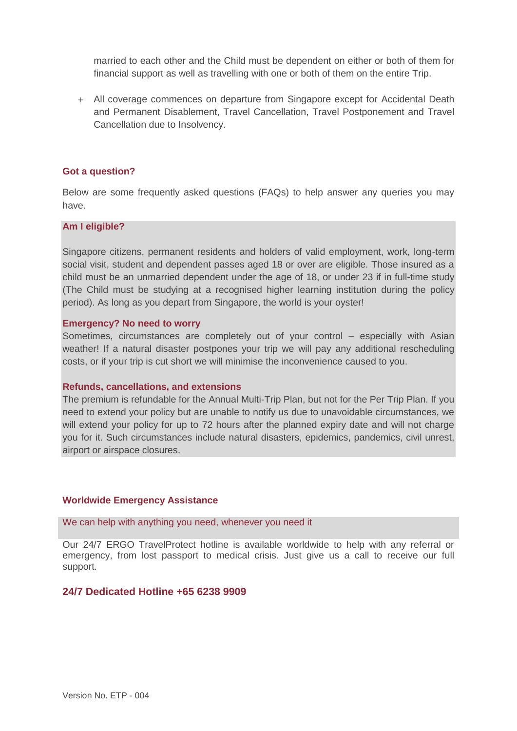married to each other and the Child must be dependent on either or both of them for financial support as well as travelling with one or both of them on the entire Trip.

 All coverage commences on departure from Singapore except for Accidental Death and Permanent Disablement, Travel Cancellation, Travel Postponement and Travel Cancellation due to Insolvency.

#### **Got a question?**

Below are some frequently asked questions (FAQs) to help answer any queries you may have.

#### **Am I eligible?**

Singapore citizens, permanent residents and holders of valid employment, work, long-term social visit, student and dependent passes aged 18 or over are eligible. Those insured as a child must be an unmarried dependent under the age of 18, or under 23 if in full-time study (The Child must be studying at a recognised higher learning institution during the policy period). As long as you depart from Singapore, the world is your oyster!

#### **Emergency? No need to worry**

Sometimes, circumstances are completely out of your control – especially with Asian weather! If a natural disaster postpones your trip we will pay any additional rescheduling costs, or if your trip is cut short we will minimise the inconvenience caused to you.

#### **Refunds, cancellations, and extensions**

The premium is refundable for the Annual Multi-Trip Plan, but not for the Per Trip Plan. If you need to extend your policy but are unable to notify us due to unavoidable circumstances, we will extend your policy for up to 72 hours after the planned expiry date and will not charge you for it. Such circumstances include natural disasters, epidemics, pandemics, civil unrest, airport or airspace closures.

#### **Worldwide Emergency Assistance**

We can help with anything you need, whenever you need it

Our 24/7 ERGO TravelProtect hotline is available worldwide to help with any referral or emergency, from lost passport to medical crisis. Just give us a call to receive our full support.

# **24/7 Dedicated Hotline +65 6238 9909**